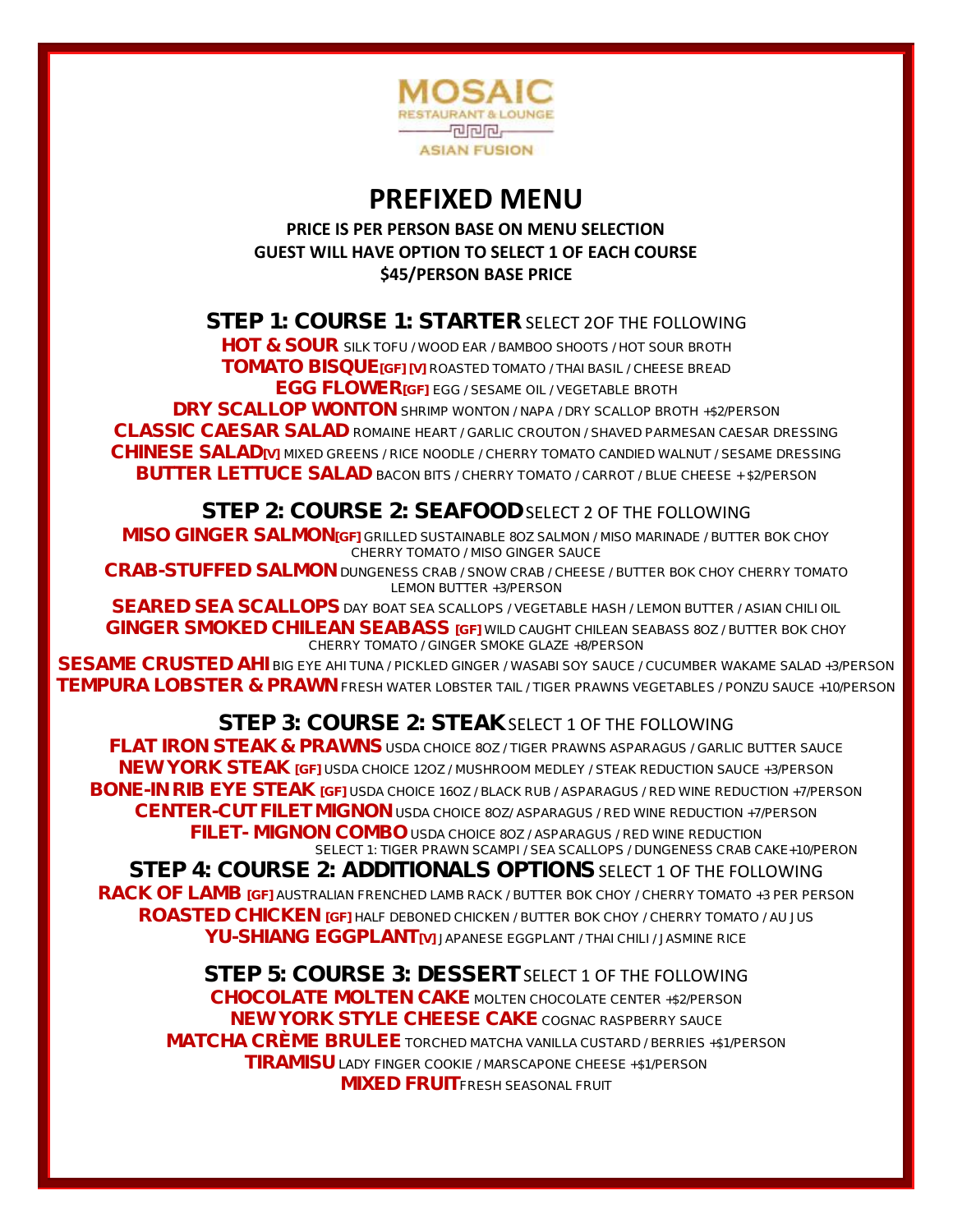

## **PREFIXED MENU**

#### **PRICE IS PER PERSON BASE ON MENU SELECTION GUEST WILL HAVE OPTION TO SELECT 1 OF EACH COURSE \$45/PERSON BASE PRICE**

## STEP 1: COURSE 1: STARTER SELECT 20F THE FOLLOWING

HOT & SOUR *SILK TOFU / WOOD EAR / BAMBOO SHOOTS / HOT SOUR BROTH* TOMATO BISQUE[GF] [V] *ROASTED TOMATO / THAI BASIL / CHEESE BREAD* EGG FLOWER[GF] *EGG / SESAME OIL / VEGETABLE BROTH*

DRY SCALLOP WONTON *SHRIMP WONTON / NAPA / DRY SCALLOP BROTH +\$2/PERSON*

CLASSIC CAESAR SALAD *ROMAINE HEART / GARLIC CROUTON / SHAVED PARMESAN CAESAR DRESSING* CHINESE SALAD[V] *MIXED GREENS / RICE NOODLE / CHERRY TOMATO CANDIED WALNUT / SESAME DRESSING* BUTTER LETTUCE SALAD *BACON BITS / CHERRY TOMATO / CARROT / BLUE CHEESE + \$2/PERSON*

### STEP 2: COURSE 2: SEAFOOD SELECT 2 OF THE FOLLOWING

MISO GINGER SALMON[GF] *GRILLED SUSTAINABLE 8OZ SALMON / MISO MARINADE / BUTTER BOK CHOY CHERRY TOMATO / MISO GINGER SAUCE*

CRAB-STUFFED SALMON *DUNGENESS CRAB / SNOW CRAB / CHEESE / BUTTER BOK CHOY CHERRY TOMATO LEMON BUTTER +3/PERSON*

SEARED SEA SCALLOPS *DAY BOAT SEA SCALLOPS / VEGETABLE HASH / LEMON BUTTER / ASIAN CHILI OIL* GINGER SMOKED CHILEAN SEABASS [GF] *WILD CAUGHT CHILEAN SEABASS 8OZ /* BUTTER BOK CHOY CHERRY TOMATO / GINGER SMOKE GLAZE *+8/PERSON*

SESAME CRUSTED AHI *BIG EYE AHI TUNA / PICKLED GINGER / WASABI SOY SAUCE / CUCUMBER WAKAME SALAD +3/PERSON* TEMPURA LOBSTER & PRAWN *FRESH WATER LOBSTER TAIL / TIGER PRAWNS VEGETABLES / PONZU SAUCE +10/PERSON*

## STEP 3: COURSE 2: STEAK SELECT 1 OF THE FOLLOWING

FLAT IRON STEAK & PRAWNS *USDA CHOICE 8OZ / TIGER PRAWNS ASPARAGUS / GARLIC BUTTER SAUCE* NEW YORK STEAK [GF] *USDA CHOICE 12OZ / MUSHROOM MEDLEY / STEAK REDUCTION SAUCE +3/PERSON* BONE-IN RIB EYE STEAK [GF] *USDA CHOICE 16OZ / BLACK RUB / ASPARAGUS / RED WINE REDUCTION +7/PERSON* CENTER-CUT FILET MIGNON *USDA CHOICE 8OZ/ ASPARAGUS / RED WINE REDUCTION +7/PERSON* FILET- MIGNON COMBO *USDA CHOICE 8OZ / ASPARAGUS / RED WINE REDUCTION* SELECT 1: TIGER PRAWN SCAMPI */* SEA SCALLOPS / DUNGENESS CRAB CAKE+10/PERON STEP 4: COURSE 2: ADDITIONALS OPTIONS SELECT 1 OF THE FOLLOWING RACK OF LAMB [GF] *AUSTRALIAN FRENCHED LAMB RACK* / *BUTTER BOK CHOY* / *CHERRY TOMATO +3 PER PERSON* ROASTED CHICKEN [GF] *HALF DEBONED CHICKEN* / *BUTTER BOK CHOY* / *CHERRY TOMATO* / *AU JUS* YU-SHIANG EGGPLANT[V] *JAPANESE EGGPLANT* / *THAI CHILI* / *JASMINE RICE*

STEP 5: COURSE 3: DESSERT SELECT 1 OF THE FOLLOWING CHOCOLATE MOLTEN CAKE *MOLTEN CHOCOLATE CENTER +\$2/PERSON* NEW YORK STYLE CHEESE CAKE *COGNAC RASPBERRY SAUCE*  MATCHA CRÈME BRULEE *TORCHED MATCHA VANILLA CUSTARD / BERRIES +\$1/PERSON* TIRAMISU *LADY FINGER COOKIE / MARSCAPONE CHEESE +\$1/PERSON* MIXED FRUIT*FRESH SEASONAL FRUIT*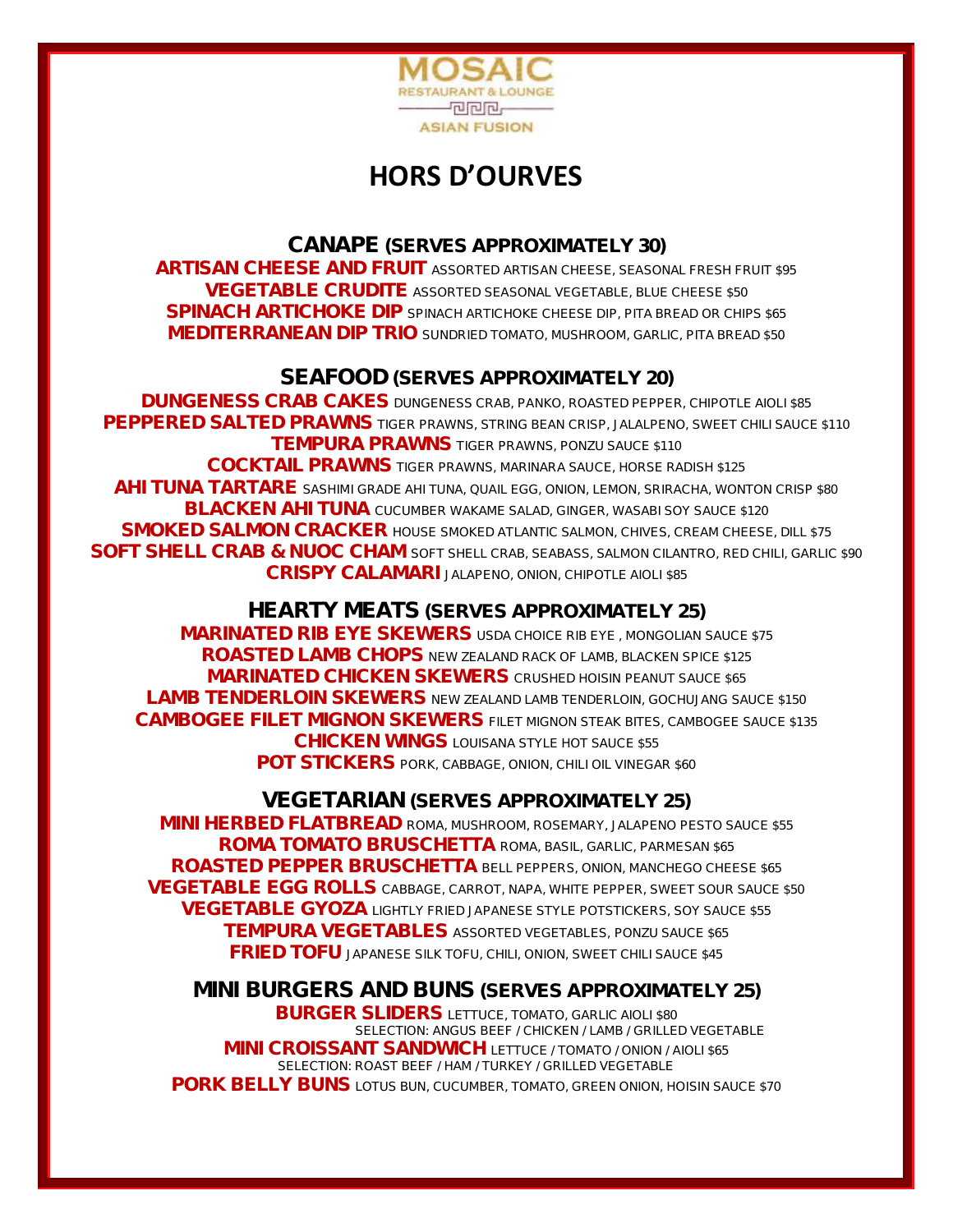

# **HORS D'OURVES**

CANAPE (SERVES APPROXIMATELY 30) ARTISAN CHEESE AND FRUIT *ASSORTED ARTISAN CHEESE, SEASONAL FRESH FRUIT \$95* VEGETABLE CRUDITE *ASSORTED SEASONAL VEGETABLE, BLUE CHEESE \$50* SPINACH ARTICHOKE DIP *SPINACH ARTICHOKE CHEESE DIP, PITA BREAD OR CHIPS \$65* MEDITERRANEAN DIP TRIO *SUNDRIED TOMATO, MUSHROOM, GARLIC, PITA BREAD \$50*

### SEAFOOD (SERVES APPROXIMATELY 20)

DUNGENESS CRAB CAKES *DUNGENESS CRAB, PANKO, ROASTED PEPPER, CHIPOTLE AIOLI \$85* PEPPERED SALTED PRAWNS *TIGER PRAWNS, STRING BEAN CRISP, JALALPENO, SWEET CHILI SAUCE \$110* TEMPURA PRAWNS *TIGER PRAWNS, PONZU SAUCE \$110* COCKTAIL PRAWNS *TIGER PRAWNS, MARINARA SAUCE, HORSE RADISH \$125* AHI TUNA TARTARE *SASHIMI GRADE AHI TUNA, QUAIL EGG, ONION, LEMON, SRIRACHA, WONTON CRISP \$80* BLACKEN AHI TUNA *CUCUMBER WAKAME SALAD, GINGER, WASABI SOY SAUCE \$120* SMOKED SALMON CRACKER *HOUSE SMOKED ATLANTIC SALMON, CHIVES, CREAM CHEESE, DILL \$75* SOFT SHELL CRAB & NUOC CHAM *SOFT SHELL CRAB, SEABASS, SALMON CILANTRO, RED CHILI, GARLIC \$90* CRISPY CALAMARI *JALAPENO, ONION, CHIPOTLE AIOLI \$85*

#### HEARTY MEATS (SERVES APPROXIMATELY 25)

MARINATED RIB EYE SKEWERS *USDA CHOICE RIB EYE , MONGOLIAN SAUCE \$75* ROASTED LAMB CHOPS *NEW ZEALAND RACK OF LAMB, BLACKEN SPICE \$125* MARINATED CHICKEN SKEWERS *CRUSHED HOISIN PEANUT SAUCE \$65* LAMB TENDERLOIN SKEWERS *NEW ZEALAND LAMB TENDERLOIN, GOCHUJANG SAUCE \$150* CAMBOGEE FILET MIGNON SKEWERS *FILET MIGNON STEAK BITES, CAMBOGEE SAUCE \$135* CHICKEN WINGS *LOUISANA STYLE HOT SAUCE \$55* POT STICKERS *PORK, CABBAGE, ONION, CHILI OIL VINEGAR \$60*

VEGETARIAN (SERVES APPROXIMATELY 25) MINI HERBED FLATBREAD *ROMA, MUSHROOM, ROSEMARY, JALAPENO PESTO SAUCE \$55* ROMA TOMATO BRUSCHETTA *ROMA, BASIL, GARLIC, PARMESAN \$65* ROASTED PEPPER BRUSCHETTA *BELL PEPPERS, ONION, MANCHEGO CHEESE \$65* VEGETABLE EGG ROLLS *CABBAGE, CARROT, NAPA, WHITE PEPPER, SWEET SOUR SAUCE \$50* VEGETABLE GYOZA *LIGHTLY FRIED JAPANESE STYLE POTSTICKERS, SOY SAUCE \$55* TEMPURA VEGETABLES *ASSORTED VEGETABLES, PONZU SAUCE \$65* FRIED TOFU *JAPANESE SILK TOFU, CHILI, ONION, SWEET CHILI SAUCE \$45*

MINI BURGERS AND BUNS (SERVES APPROXIMATELY 25) BURGER SLIDERS *LETTUCE, TOMATO, GARLIC AIOLI \$80 SELECTION: ANGUS BEEF / CHICKEN / LAMB / GRILLED VEGETABLE* MINI CROISSANT SANDWICH *LETTUCE / TOMATO / ONION / AIOLI \$65 SELECTION: ROAST BEEF / HAM / TURKEY / GRILLED VEGETABLE* PORK BELLY BUNS *LOTUS BUN, CUCUMBER, TOMATO, GREEN ONION, HOISIN SAUCE \$70*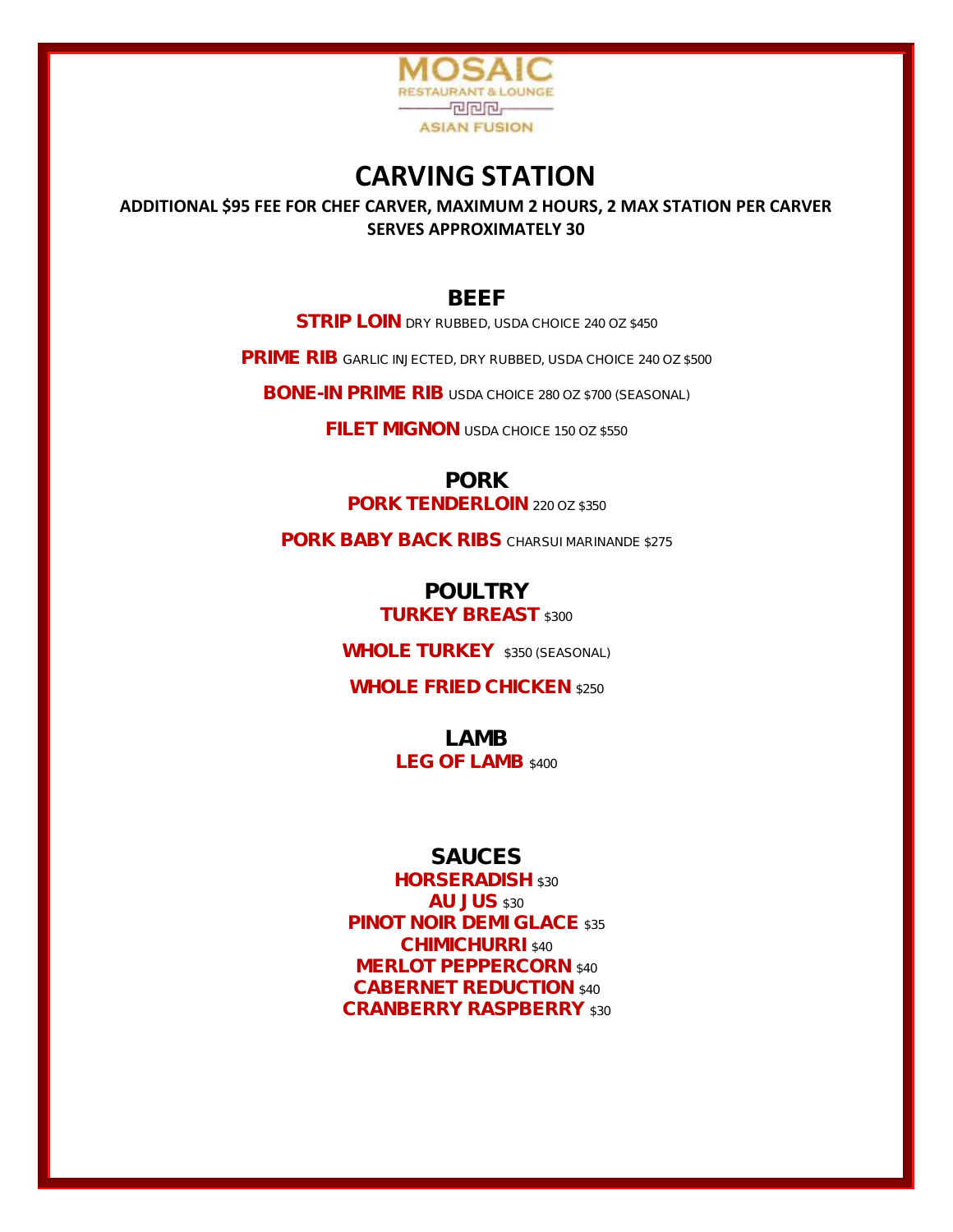

## **CARVING STATION**

**ADDITIONAL \$95 FEE FOR CHEF CARVER, MAXIMUM 2 HOURS, 2 MAX STATION PER CARVER SERVES APPROXIMATELY 30**

#### BEEF

STRIP LOIN *DRY RUBBED, USDA CHOICE 240 OZ \$450*

PRIME RIB *GARLIC INJECTED, DRY RUBBED, USDA CHOICE 240 OZ \$500*

BONE-IN PRIME RIB *USDA CHOICE 280 OZ \$700 (SEASONAL)*

FILET MIGNON *USDA CHOICE 150 OZ \$550*

PORK

PORK TENDERLOIN *220 OZ \$350*

PORK BABY BACK RIBS *CHARSUI MARINANDE \$275*

POULTRY TURKEY BREAST *\$300*

WHOLE TURKEY *\$350 (SEASONAL)*

WHOLE FRIED CHICKEN *\$250*

LAMB LEG OF LAMB *\$400*

#### **SAUCES**

HORSERADISH *\$30* AU JUS *\$30* PINOT NOIR DEMI GLACE *\$35* CHIMICHURRI *\$40* MERLOT PEPPERCORN *\$40* CABERNET REDUCTION *\$40* CRANBERRY RASPBERRY *\$30*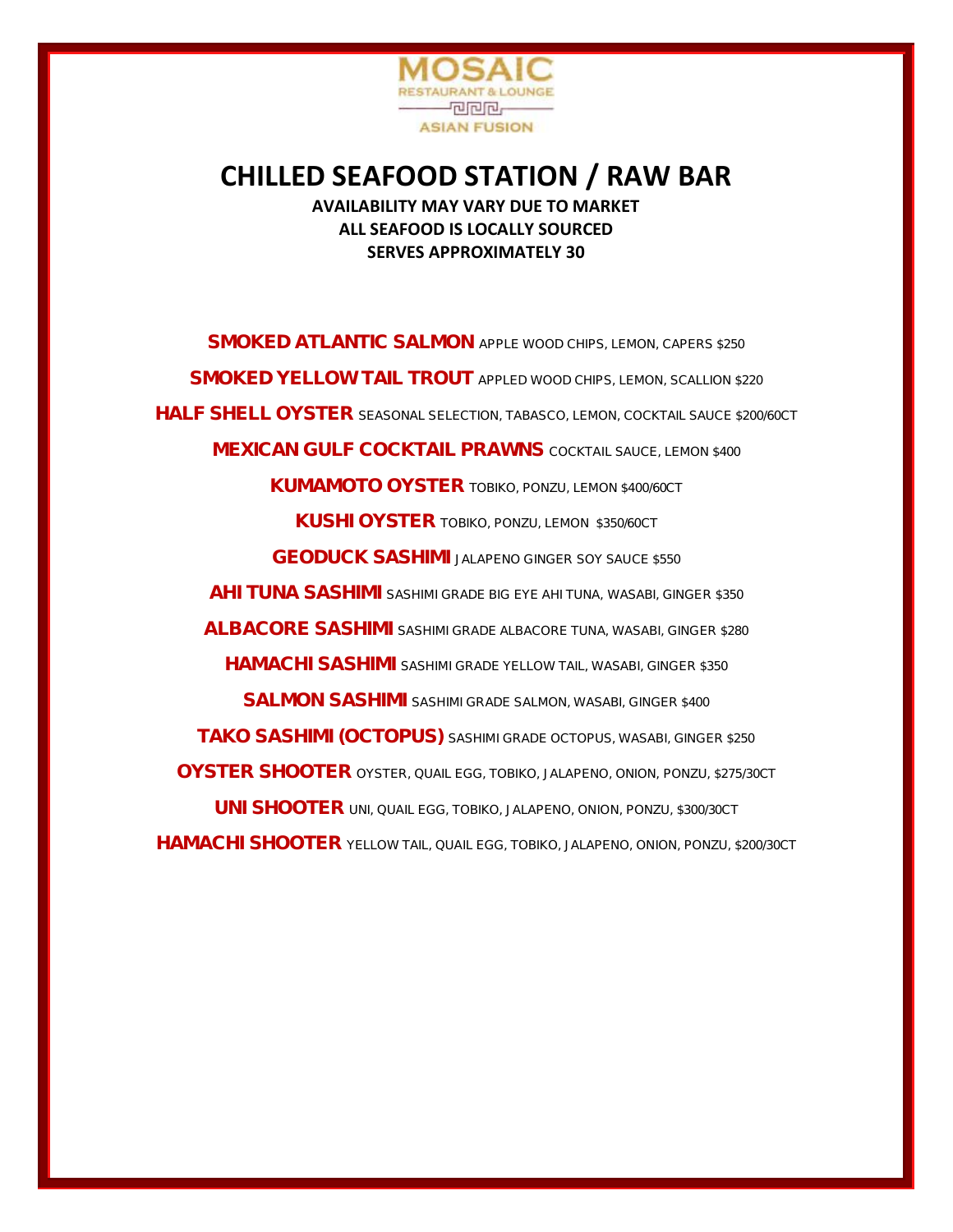

### **CHILLED SEAFOOD STATION / RAW BAR AVAILABILITY MAY VARY DUE TO MARKET ALL SEAFOOD IS LOCALLY SOURCED SERVES APPROXIMATELY 30**

SMOKED ATLANTIC SALMON *APPLE WOOD CHIPS, LEMON, CAPERS \$250* SMOKED YELLOW TAIL TROUT *APPLED WOOD CHIPS, LEMON, SCALLION \$220* HALF SHELL OYSTER *SEASONAL SELECTION, TABASCO, LEMON, COCKTAIL SAUCE \$200/60CT* MEXICAN GULF COCKTAIL PRAWNS *COCKTAIL SAUCE, LEMON \$400* KUMAMOTO OYSTER *TOBIKO, PONZU, LEMON \$400/60CT* KUSHI OYSTER *TOBIKO, PONZU, LEMON \$350/60CT* GEODUCK SASHIMI *JALAPENO GINGER SOY SAUCE \$550* AHI TUNA SASHIMI *SASHIMI GRADE BIG EYE AHI TUNA, WASABI, GINGER \$350* ALBACORE SASHIMI *SASHIMI GRADE ALBACORE TUNA, WASABI, GINGER \$280* HAMACHI SASHIMI *SASHIMI GRADE YELLOW TAIL, WASABI, GINGER \$350* SALMON SASHIMI *SASHIMI GRADE SALMON, WASABI, GINGER \$400* TAKO SASHIMI (OCTOPUS) *SASHIMI GRADE OCTOPUS, WASABI, GINGER \$250* OYSTER SHOOTER *OYSTER, QUAIL EGG, TOBIKO, JALAPENO, ONION, PONZU, \$275/30CT* UNI SHOOTER *UNI, QUAIL EGG, TOBIKO, JALAPENO, ONION, PONZU, \$300/30CT* HAMACHI SHOOTER *YELLOW TAIL, QUAIL EGG, TOBIKO, JALAPENO, ONION, PONZU, \$200/30CT*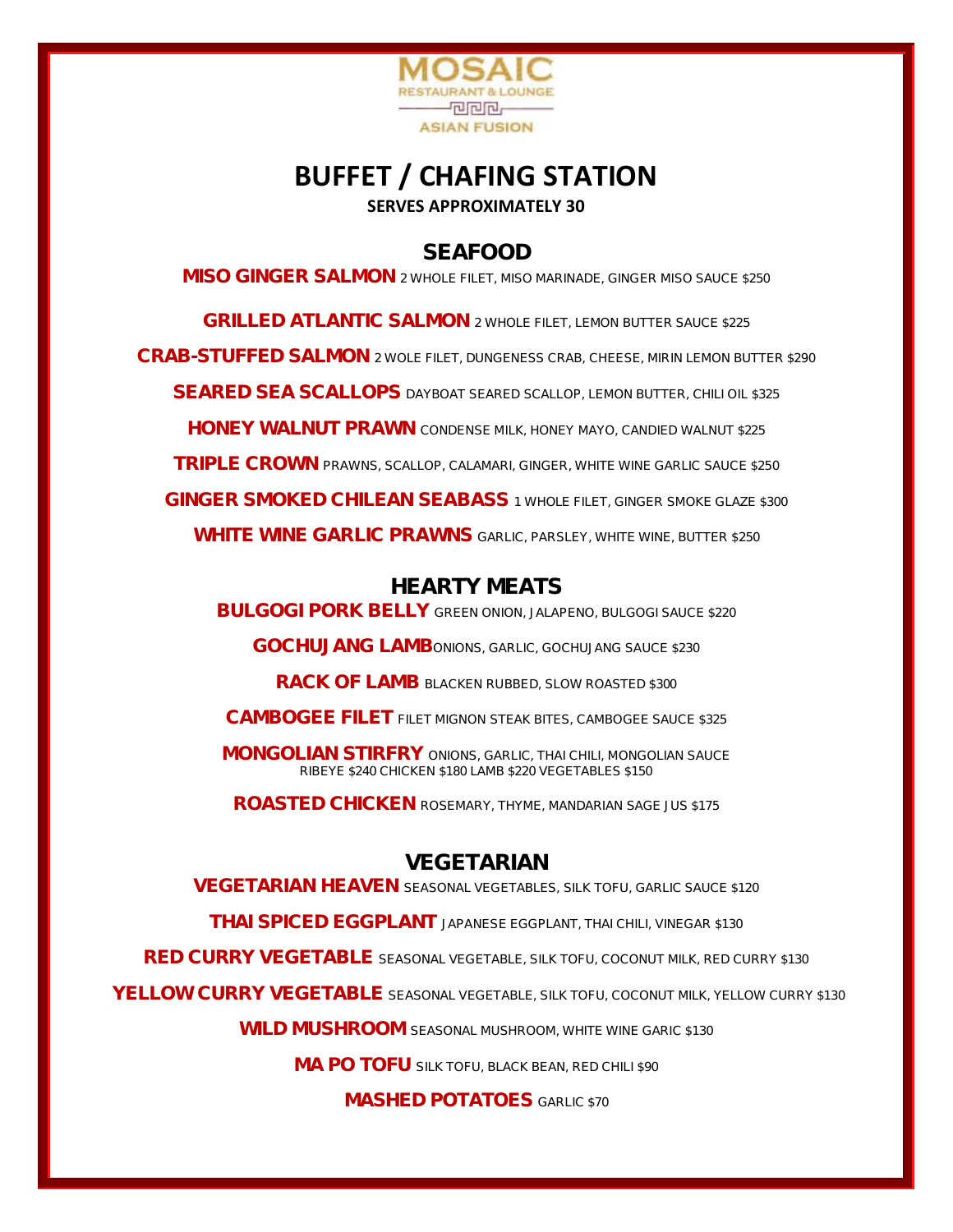

## **BUFFET / CHAFING STATION SERVES APPROXIMATELY 30**

SEAFOOD

MISO GINGER SALMON *2 WHOLE FILET, MISO MARINADE, GINGER MISO SAUCE \$250*

GRILLED ATLANTIC SALMON *2 WHOLE FILET, LEMON BUTTER SAUCE \$225* CRAB-STUFFED SALMON *2 WOLE FILET, DUNGENESS CRAB, CHEESE, MIRIN LEMON BUTTER \$290* SEARED SEA SCALLOPS *DAYBOAT SEARED SCALLOP, LEMON BUTTER, CHILI OIL \$325* HONEY WALNUT PRAWN *CONDENSE MILK, HONEY MAYO, CANDIED WALNUT \$225* TRIPLE CROWN *PRAWNS, SCALLOP, CALAMARI, GINGER, WHITE WINE GARLIC SAUCE \$250* GINGER SMOKED CHILEAN SEABASS *1 WHOLE FILET, GINGER SMOKE GLAZE \$300* WHITE WINE GARLIC PRAWNS *GARLIC, PARSLEY, WHITE WINE, BUTTER \$250*

### HEARTY MEATS

BULGOGI PORK BELLY *GREEN ONION, JALAPENO, BULGOGI SAUCE \$220*

GOCHUJANG LAMB*ONIONS, GARLIC, GOCHUJANG SAUCE \$230*

RACK OF LAMB *BLACKEN RUBBED, SLOW ROASTED \$300*

CAMBOGEE FILET *FILET MIGNON STEAK BITES, CAMBOGEE SAUCE \$325*

MONGOLIAN STIRFRY *ONIONS, GARLIC, THAI CHILI, MONGOLIAN SAUCE RIBEYE \$240 CHICKEN \$180 LAMB \$220 VEGETABLES \$150*

ROASTED CHICKEN *ROSEMARY, THYME, MANDARIAN SAGE JUS \$175*

## VEGETARIAN

VEGETARIAN HEAVEN *SEASONAL VEGETABLES, SILK TOFU, GARLIC SAUCE \$120*

THAI SPICED EGGPLANT *JAPANESE EGGPLANT, THAI CHILI, VINEGAR \$130*

RED CURRY VEGETABLE *SEASONAL VEGETABLE, SILK TOFU, COCONUT MILK, RED CURRY \$130*

YELLOW CURRY VEGETABLE *SEASONAL VEGETABLE, SILK TOFU, COCONUT MILK, YELLOW CURRY \$130*

WILD MUSHROOM *SEASONAL MUSHROOM, WHITE WINE GARIC \$130*

MA PO TOFU *SILK TOFU, BLACK BEAN, RED CHILI \$90*

MASHED POTATOES *GARLIC \$70*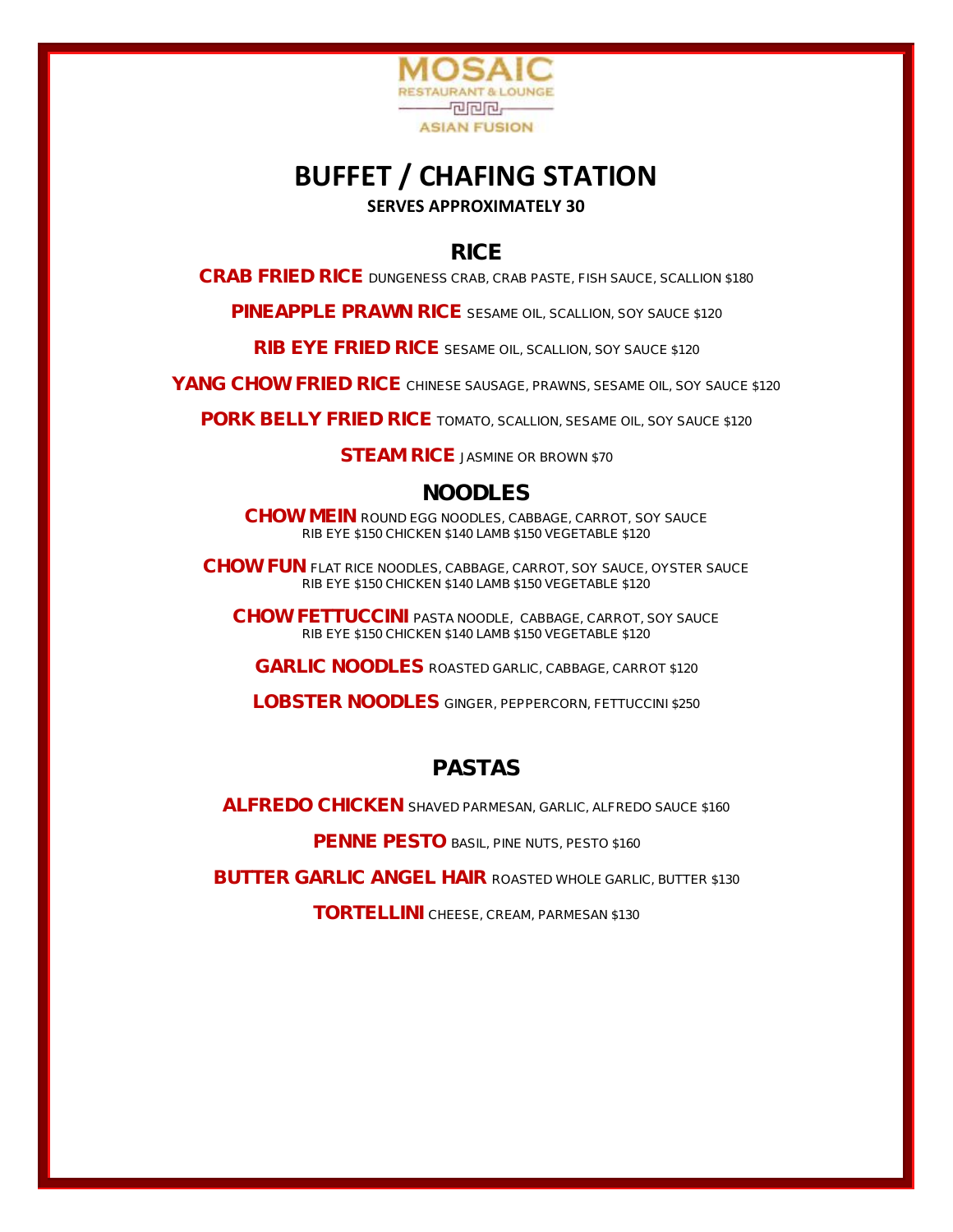

## **BUFFET / CHAFING STATION SERVES APPROXIMATELY 30**

RICE

CRAB FRIED RICE *DUNGENESS CRAB, CRAB PASTE, FISH SAUCE, SCALLION \$180*

PINEAPPLE PRAWN RICE *SESAME OIL, SCALLION, SOY SAUCE \$120*

RIB EYE FRIED RICE *SESAME OIL, SCALLION, SOY SAUCE \$120*

YANG CHOW FRIED RICE *CHINESE SAUSAGE, PRAWNS, SESAME OIL, SOY SAUCE \$120*

PORK BELLY FRIED RICE *TOMATO, SCALLION, SESAME OIL, SOY SAUCE \$120*

STEAM RICE *JASMINE OR BROWN \$70*

### NOODLES

CHOW MEIN *ROUND EGG NOODLES, CABBAGE, CARROT, SOY SAUCE RIB EYE \$150 CHICKEN \$140 LAMB \$150 VEGETABLE \$120*

CHOW FUN *FLAT RICE NOODLES, CABBAGE, CARROT, SOY SAUCE, OYSTER SAUCE RIB EYE \$150 CHICKEN \$140 LAMB \$150 VEGETABLE \$120*

CHOW FETTUCCINI *PASTA NOODLE, CABBAGE, CARROT, SOY SAUCE RIB EYE \$150 CHICKEN \$140 LAMB \$150 VEGETABLE \$120*

GARLIC NOODLES *ROASTED GARLIC, CABBAGE, CARROT \$120*

LOBSTER NOODLES *GINGER, PEPPERCORN, FETTUCCINI \$250*

## PASTAS

ALFREDO CHICKEN *SHAVED PARMESAN, GARLIC, ALFREDO SAUCE \$160*

PENNE PESTO *BASIL, PINE NUTS, PESTO \$160*

BUTTER GARLIC ANGEL HAIR *ROASTED WHOLE GARLIC, BUTTER \$130*

TORTELLINI *CHEESE, CREAM, PARMESAN \$130*